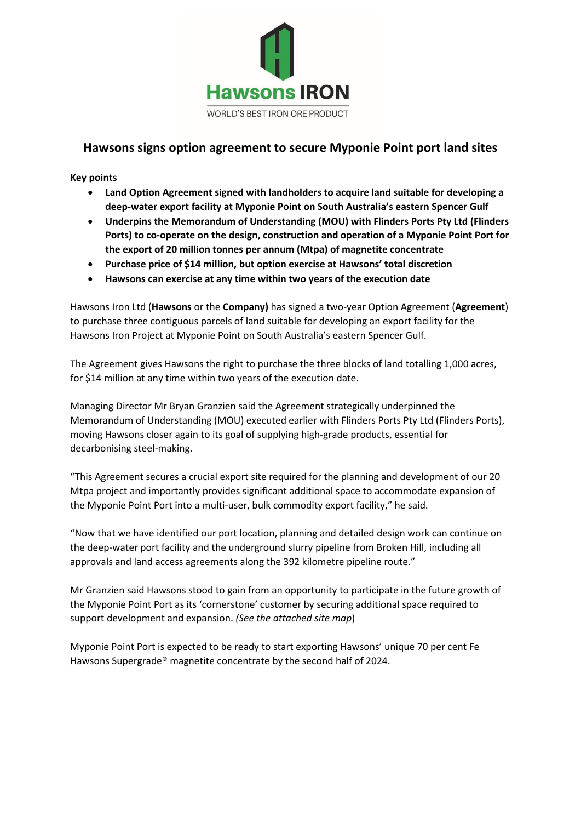

# **Hawsons signs option agreement to secure Myponie Point port land sites**

**Key points**

- **Land Option Agreement signed with landholders to acquire land suitable for developing a deep-water export facility at Myponie Point on South Australia's eastern Spencer Gulf**
- **Underpins the Memorandum of Understanding (MOU) with Flinders Ports Pty Ltd (Flinders Ports) to co-operate on the design, construction and operation of a Myponie Point Port for the export of 20 million tonnes per annum (Mtpa) of magnetite concentrate**
- **Purchase price of \$14 million, but option exercise at Hawsons' total discretion**
- **Hawsons can exercise at any time within two years of the execution date**

Hawsons Iron Ltd (**Hawsons** or the **Company)** has signed a two-year Option Agreement (**Agreement**) to purchase three contiguous parcels of land suitable for developing an export facility for the Hawsons Iron Project at Myponie Point on South Australia's eastern Spencer Gulf.

The Agreement gives Hawsons the right to purchase the three blocks of land totalling 1,000 acres, for \$14 million at any time within two years of the execution date.

Managing Director Mr Bryan Granzien said the Agreement strategically underpinned the Memorandum of Understanding (MOU) executed earlier with Flinders Ports Pty Ltd (Flinders Ports), moving Hawsons closer again to its goal of supplying high-grade products, essential for decarbonising steel-making.

"This Agreement secures a crucial export site required for the planning and development of our 20 Mtpa project and importantly provides significant additional space to accommodate expansion of the Myponie Point Port into a multi-user, bulk commodity export facility," he said.

"Now that we have identified our port location, planning and detailed design work can continue on the deep-water port facility and the underground slurry pipeline from Broken Hill, including all approvals and land access agreements along the 392 kilometre pipeline route."

Mr Granzien said Hawsons stood to gain from an opportunity to participate in the future growth of the Myponie Point Port as its 'cornerstone' customer by securing additional space required to support development and expansion. *(See the attached site map*)

Myponie Point Port is expected to be ready to start exporting Hawsons' unique 70 per cent Fe Hawsons Supergrade® magnetite concentrate by the second half of 2024.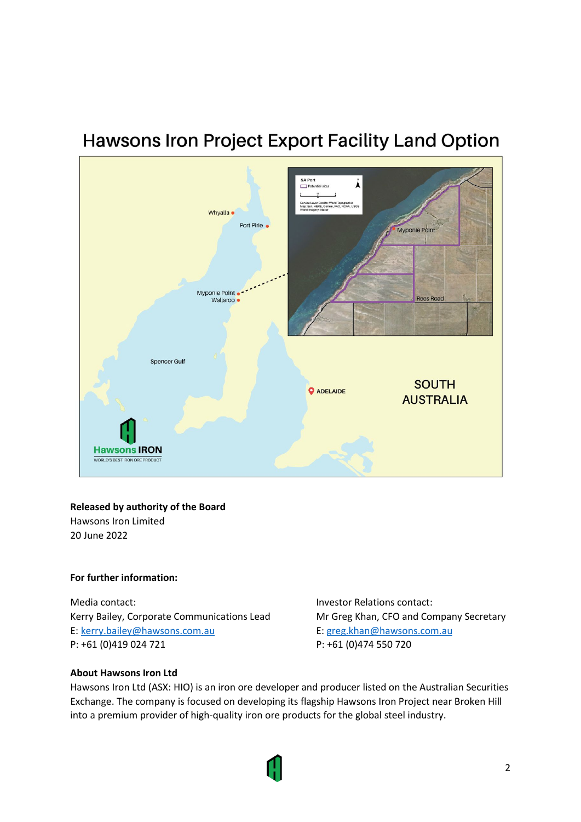# **Hawsons Iron Project Export Facility Land Option**



## **Released by authority of the Board**

Hawsons Iron Limited 20 June 2022

### **For further information:**

Media contact: **Investor Relations contact:** Investor Relations contact: Kerry Bailey, Corporate Communications Lead Mr Greg Khan, CFO and Company Secretary E: [kerry.bailey@hawsons.com.au](mailto:kerry.bailey@hawsons.com.au) E: [greg.khan@hawsons.com.au](mailto:greg.khan@hawsons.com.au) P: +61 (0)419 024 721 P: +61 (0)474 550 720

### **About Hawsons Iron Ltd**

Hawsons Iron Ltd (ASX: HIO) is an iron ore developer and producer listed on the Australian Securities Exchange. The company is focused on developing its flagship Hawsons Iron Project near Broken Hill into a premium provider of high-quality iron ore products for the global steel industry.